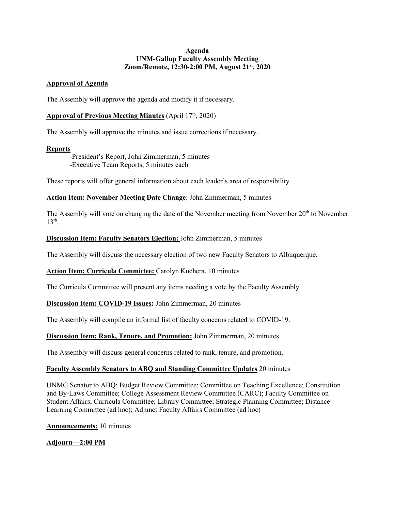### **Agenda UNM-Gallup Faculty Assembly Meeting Zoom/Remote, 12:30-2:00 PM, August 21st, 2020**

### **Approval of Agenda**

The Assembly will approve the agenda and modify it if necessary.

# **Approval of Previous Meeting Minutes** (April 17th, 2020)

The Assembly will approve the minutes and issue corrections if necessary.

### **Reports**

-President's Report, John Zimmerman, 5 minutes -Executive Team Reports, 5 minutes each

These reports will offer general information about each leader's area of responsibility.

## **Action Item: November Meeting Date Change**: John Zimmerman, 5 minutes

The Assembly will vote on changing the date of the November meeting from November 20<sup>th</sup> to November  $13<sup>th</sup>$ .

### **Discussion Item: Faculty Senators Election:** John Zimmerman, 5 minutes

The Assembly will discuss the necessary election of two new Faculty Senators to Albuquerque.

### **Action Item: Curricula Committee:** Carolyn Kuchera, 10 minutes

The Curricula Committee will present any items needing a vote by the Faculty Assembly.

### **Discussion Item: COVID-19 Issues:** John Zimmerman, 20 minutes

The Assembly will compile an informal list of faculty concerns related to COVID-19.

### **Discussion Item: Rank, Tenure, and Promotion:** John Zimmerman, 20 minutes

The Assembly will discuss general concerns related to rank, tenure, and promotion.

### **Faculty Assembly Senators to ABQ and Standing Committee Updates** 20 minutes

UNMG Senator to ABQ; Budget Review Committee; Committee on Teaching Excellence; Constitution and By-Laws Committee; College Assessment Review Committee (CARC); Faculty Committee on Student Affairs; Curricula Committee; Library Committee; Strategic Planning Committee; Distance Learning Committee (ad hoc); Adjunct Faculty Affairs Committee (ad hoc)

**Announcements:** 10 minutes

**Adjourn—2:00 PM**